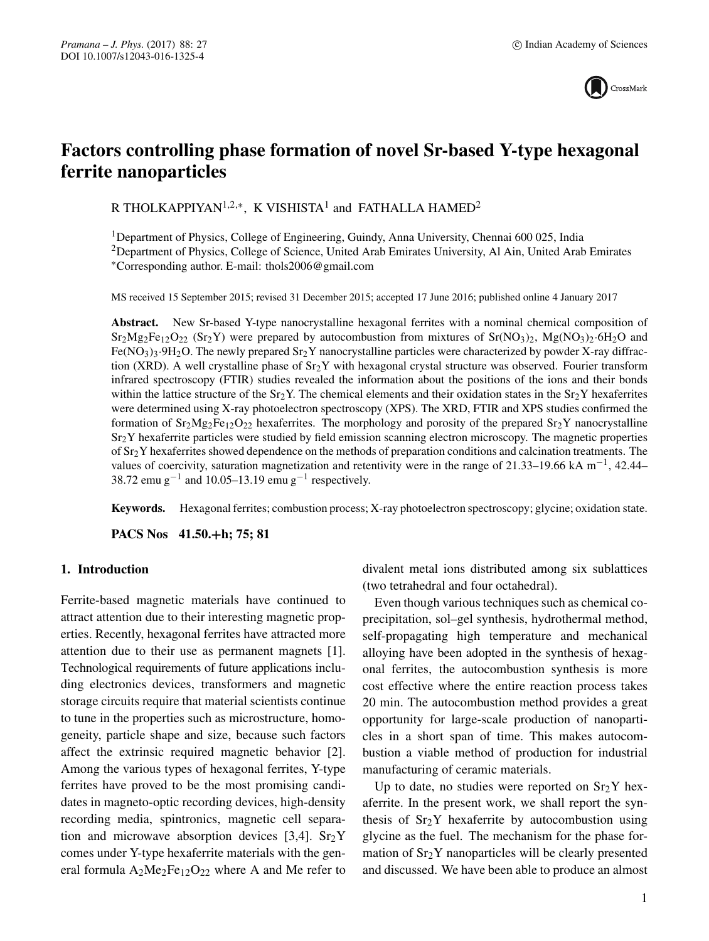

# **Factors controlling phase formation of novel Sr-based Y-type hexagonal ferrite nanoparticles**

R THOLKAPPIYAN<sup>1,2,∗</sup>, K VISHISTA<sup>1</sup> and FATHALLA HAMED<sup>2</sup>

1Department of Physics, College of Engineering, Guindy, Anna University, Chennai 600 025, India <sup>2</sup>Department of Physics, College of Science, United Arab Emirates University, Al Ain, United Arab Emirates ∗Corresponding author. E-mail: thols2006@gmail.com

MS received 15 September 2015; revised 31 December 2015; accepted 17 June 2016; published online 4 January 2017

**Abstract.** New Sr-based Y-type nanocrystalline hexagonal ferrites with a nominal chemical composition of  $Sr<sub>2</sub>Mg<sub>2</sub>Fe<sub>12</sub>O<sub>22</sub> (Sr<sub>2</sub>Y)$  were prepared by autocombustion from mixtures of  $Sr(NO<sub>3</sub>)<sub>2</sub>$ , Mg(NO<sub>3</sub>)<sub>2</sub>·6H<sub>2</sub>O and  $Fe(NO<sub>3</sub>)<sub>3</sub>·9H<sub>2</sub>O$ . The newly prepared  $Sr<sub>2</sub>Y$  nanocrystalline particles were characterized by powder X-ray diffraction (XRD). A well crystalline phase of  $Sr<sub>2</sub>Y$  with hexagonal crystal structure was observed. Fourier transform infrared spectroscopy (FTIR) studies revealed the information about the positions of the ions and their bonds within the lattice structure of the  $Sr_2Y$ . The chemical elements and their oxidation states in the  $Sr_2Y$  hexaferrites were determined using X-ray photoelectron spectroscopy (XPS). The XRD, FTIR and XPS studies confirmed the formation of  $Sr_2Mg_2Fe_{12}O_{22}$  hexaferrites. The morphology and porosity of the prepared  $Sr_2Y$  nanocrystalline Sr2Y hexaferrite particles were studied by field emission scanning electron microscopy. The magnetic properties of Sr2Y hexaferrites showed dependence on the methods of preparation conditions and calcination treatments. The values of coercivity, saturation magnetization and retentivity were in the range of 21.33–19.66 kA m−1, 42.44– 38.72 emu g<sup>-1</sup> and 10.05–13.19 emu g<sup>-1</sup> respectively.

**Keywords.** Hexagonal ferrites; combustion process; X-ray photoelectron spectroscopy; glycine; oxidation state.

**PACS Nos 41.50.+h; 75; 81**

#### **1. Introduction**

Ferrite-based magnetic materials have continued to attract attention due to their interesting magnetic properties. Recently, hexagonal ferrites have attracted more attention due to their use as permanent magnets [1]. Technological requirements of future applications including electronics devices, transformers and magnetic storage circuits require that material scientists continue to tune in the properties such as microstructure, homogeneity, particle shape and size, because such factors affect the extrinsic required magnetic behavior [2]. Among the various types of hexagonal ferrites, Y-type ferrites have proved to be the most promising candidates in magneto-optic recording devices, high-density recording media, spintronics, magnetic cell separation and microwave absorption devices [3,4].  $Sr<sub>2</sub>Y$ comes under Y-type hexaferrite materials with the general formula  $A_2Me_2Fe_{12}O_{22}$  where A and Me refer to divalent metal ions distributed among six sublattices (two tetrahedral and four octahedral).

Even though various techniques such as chemical coprecipitation, sol–gel synthesis, hydrothermal method, self-propagating high temperature and mechanical alloying have been adopted in the synthesis of hexagonal ferrites, the autocombustion synthesis is more cost effective where the entire reaction process takes 20 min. The autocombustion method provides a great opportunity for large-scale production of nanoparticles in a short span of time. This makes autocombustion a viable method of production for industrial manufacturing of ceramic materials.

Up to date, no studies were reported on  $Sr<sub>2</sub>Y$  hexaferrite. In the present work, we shall report the synthesis of  $Sr<sub>2</sub>Y$  hexaferrite by autocombustion using glycine as the fuel. The mechanism for the phase formation of  $Sr<sub>2</sub>Y$  nanoparticles will be clearly presented and discussed. We have been able to produce an almost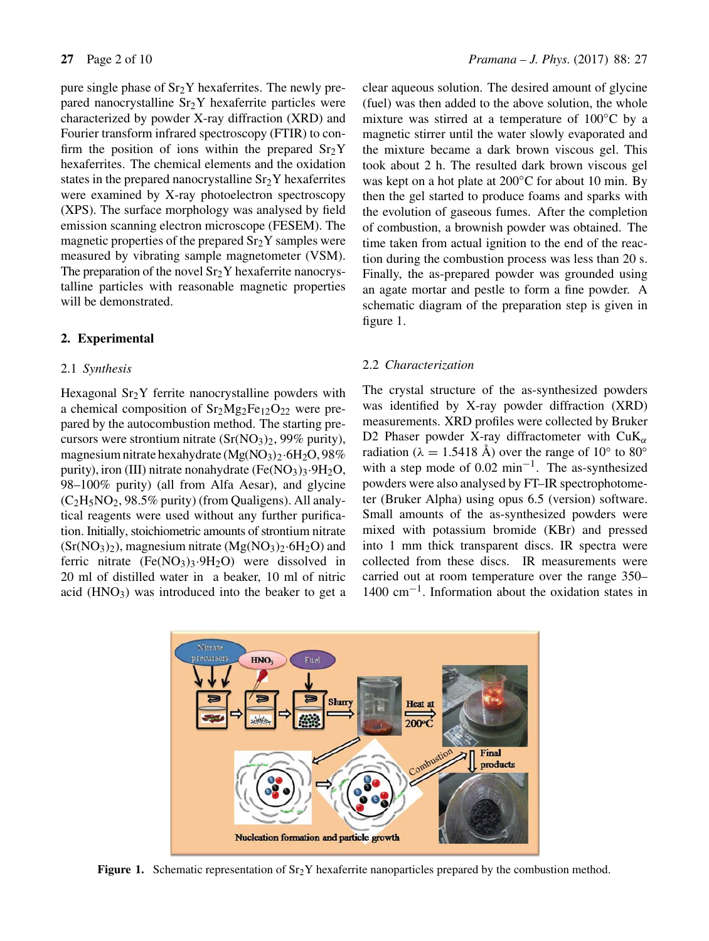pure single phase of  $Sr<sub>2</sub>Y$  hexaferrites. The newly prepared nanocrystalline  $Sr<sub>2</sub>Y$  hexaferrite particles were characterized by powder X-ray diffraction (XRD) and Fourier transform infrared spectroscopy (FTIR) to confirm the position of ions within the prepared  $Sr<sub>2</sub>Y$ hexaferrites. The chemical elements and the oxidation states in the prepared nanocrystalline  $Sr<sub>2</sub>Y$  hexaferrites were examined by X-ray photoelectron spectroscopy (XPS). The surface morphology was analysed by field emission scanning electron microscope (FESEM). The magnetic properties of the prepared  $Sr<sub>2</sub>Y$  samples were measured by vibrating sample magnetometer (VSM). The preparation of the novel  $Sr<sub>2</sub>Y$  hexaferrite nanocrystalline particles with reasonable magnetic properties will be demonstrated.

# **2. Experimental**

# 2.1 *Synthesis*

Hexagonal  $Sr<sub>2</sub>Y$  ferrite nanocrystalline powders with a chemical composition of  $Sr<sub>2</sub>Mg<sub>2</sub>Fe<sub>12</sub>O<sub>22</sub>$  were prepared by the autocombustion method. The starting precursors were strontium nitrate  $(Sr(NO<sub>3</sub>)<sub>2</sub>, 99%$  purity), magnesium nitrate hexahydrate  $(MgNO<sub>3</sub>)<sub>2</sub>·6H<sub>2</sub>O, 98%$ purity), iron (III) nitrate nonahydrate (Fe(NO<sub>3</sub>)<sub>3</sub>.9H<sub>2</sub>O, 98–100% purity) (all from Alfa Aesar), and glycine  $(C_2H_5NO_2, 98.5\%$  purity) (from Qualigens). All analytical reagents were used without any further purification. Initially, stoichiometric amounts of strontium nitrate  $(Sr(NO<sub>3</sub>)<sub>2</sub>)$ , magnesium nitrate  $(Mg(NO<sub>3</sub>)<sub>2</sub>·6H<sub>2</sub>O)$  and ferric nitrate  $(Fe(NO<sub>3</sub>)<sub>3</sub>·9H<sub>2</sub>O)$  were dissolved in 20 ml of distilled water in a beaker, 10 ml of nitric acid  $(HNO<sub>3</sub>)$  was introduced into the beaker to get a clear aqueous solution. The desired amount of glycine (fuel) was then added to the above solution, the whole mixture was stirred at a temperature of 100◦C by a magnetic stirrer until the water slowly evaporated and the mixture became a dark brown viscous gel. This took about 2 h. The resulted dark brown viscous gel was kept on a hot plate at 200◦C for about 10 min. By then the gel started to produce foams and sparks with the evolution of gaseous fumes. After the completion of combustion, a brownish powder was obtained. The time taken from actual ignition to the end of the reaction during the combustion process was less than 20 s. Finally, the as-prepared powder was grounded using an agate mortar and pestle to form a fine powder. A schematic diagram of the preparation step is given in figure 1.

# 2.2 *Characterization*

The crystal structure of the as-synthesized powders was identified by X-ray powder diffraction (XRD) measurements. XRD profiles were collected by Bruker D2 Phaser powder X-ray diffractometer with  $CuK_{\alpha}$ radiation ( $\lambda = 1.5418$  Å) over the range of 10° to 80° with a step mode of  $0.02 \text{ min}^{-1}$ . The as-synthesized powders were also analysed by FT–IR spectrophotometer (Bruker Alpha) using opus 6.5 (version) software. Small amounts of the as-synthesized powders were mixed with potassium bromide (KBr) and pressed into 1 mm thick transparent discs. IR spectra were collected from these discs. IR measurements were carried out at room temperature over the range 350– 1400 cm−1. Information about the oxidation states in



**Figure 1.** Schematic representation of Sr<sub>2</sub>Y hexaferrite nanoparticles prepared by the combustion method.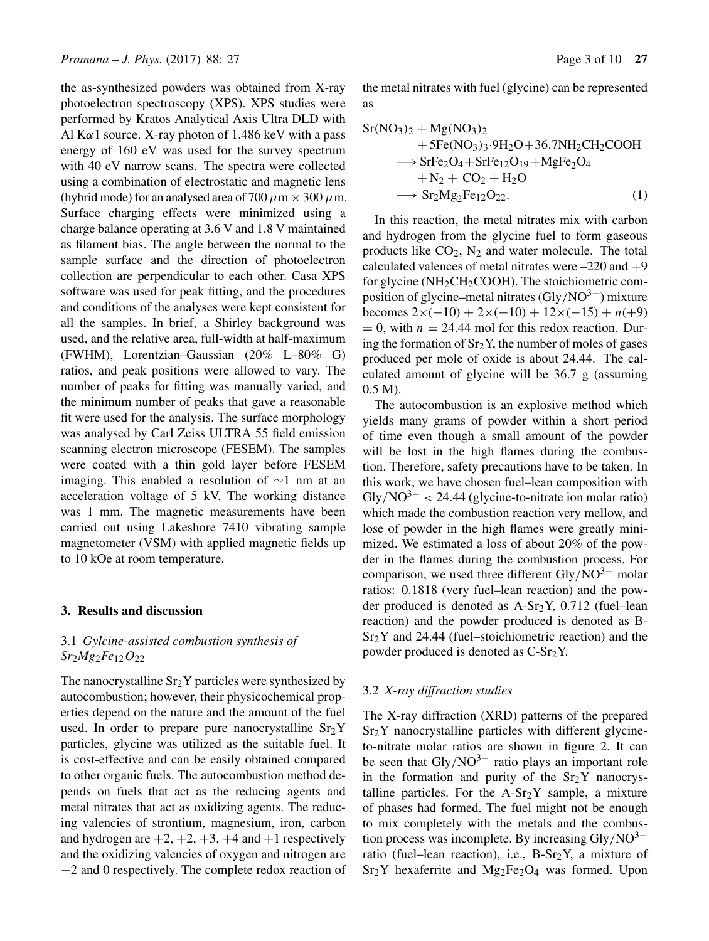the as-synthesized powders was obtained from X-ray photoelectron spectroscopy (XPS). XPS studies were performed by Kratos Analytical Axis Ultra DLD with Al K $\alpha$ 1 source. X-ray photon of 1.486 keV with a pass energy of 160 eV was used for the survey spectrum with 40 eV narrow scans. The spectra were collected using a combination of electrostatic and magnetic lens (hybrid mode) for an analysed area of 700  $\mu$ m  $\times$  300  $\mu$ m. Surface charging effects were minimized using a charge balance operating at 3.6 V and 1.8 V maintained as filament bias. The angle between the normal to the sample surface and the direction of photoelectron collection are perpendicular to each other. Casa XPS software was used for peak fitting, and the procedures and conditions of the analyses were kept consistent for all the samples. In brief, a Shirley background was used, and the relative area, full-width at half-maximum (FWHM), Lorentzian–Gaussian (20% L–80% G) ratios, and peak positions were allowed to vary. The number of peaks for fitting was manually varied, and the minimum number of peaks that gave a reasonable fit were used for the analysis. The surface morphology was analysed by Carl Zeiss ULTRA 55 field emission scanning electron microscope (FESEM). The samples were coated with a thin gold layer before FESEM imaging. This enabled a resolution of ∼1 nm at an acceleration voltage of 5 kV. The working distance was 1 mm. The magnetic measurements have been carried out using Lakeshore 7410 vibrating sample magnetometer (VSM) with applied magnetic fields up to 10 kOe at room temperature.

#### **3. Results and discussion**

# 3.1 *Gylcine-assisted combustion synthesis of Sr*2*Mg*2*Fe*12O<sup>22</sup>

The nanocrystalline  $Sr<sub>2</sub>Y$  particles were synthesized by autocombustion; however, their physicochemical properties depend on the nature and the amount of the fuel used. In order to prepare pure nanocrystalline  $Sr<sub>2</sub>Y$ particles, glycine was utilized as the suitable fuel. It is cost-effective and can be easily obtained compared to other organic fuels. The autocombustion method depends on fuels that act as the reducing agents and metal nitrates that act as oxidizing agents. The reducing valencies of strontium, magnesium, iron, carbon and hydrogen are  $+2$ ,  $+2$ ,  $+3$ ,  $+4$  and  $+1$  respectively and the oxidizing valencies of oxygen and nitrogen are −2 and 0 respectively. The complete redox reaction of the metal nitrates with fuel (glycine) can be represented as

$$
Sr(NO3)2 + Mg(NO3)2+ 5Fe(NO3)3·9H2O+36.7NH2CH2COOH\n→ SrFe2O4+SrFe12O19+MgFe2O4+ N2 + CO2 + H2O\n→ Sr2Mg2Fe12O22.
$$
\n(1)

In this reaction, the metal nitrates mix with carbon and hydrogen from the glycine fuel to form gaseous products like  $CO<sub>2</sub>$ , N<sub>2</sub> and water molecule. The total calculated valences of metal nitrates were  $-220$  and  $+9$ for glycine ( $NH<sub>2</sub>CH<sub>2</sub>COOH$ ). The stoichiometric composition of glycine–metal nitrates  $(Gly/NO<sup>3−</sup>)$  mixture becomes  $2 \times (-10) + 2 \times (-10) + 12 \times (-15) + n(0) + 9$  $= 0$ , with  $n = 24.44$  mol for this redox reaction. During the formation of  $Sr<sub>2</sub>Y$ , the number of moles of gases produced per mole of oxide is about 24.44. The calculated amount of glycine will be 36.7 g (assuming 0.5 M).

The autocombustion is an explosive method which yields many grams of powder within a short period of time even though a small amount of the powder will be lost in the high flames during the combustion. Therefore, safety precautions have to be taken. In this work, we have chosen fuel–lean composition with  $\text{Gly/NO}^{3-}$  < 24.44 (glycine-to-nitrate ion molar ratio) which made the combustion reaction very mellow, and lose of powder in the high flames were greatly minimized. We estimated a loss of about 20% of the powder in the flames during the combustion process. For comparison, we used three different  $\text{Gly/NO}^{3-}$  molar ratios: 0.1818 (very fuel–lean reaction) and the powder produced is denoted as A-Sr2Y, 0.712 (fuel–lean reaction) and the powder produced is denoted as B- $Sr<sub>2</sub>Y$  and 24.44 (fuel–stoichiometric reaction) and the powder produced is denoted as  $C-ST_2Y$ .

# 3.2 *X-ray diffraction studies*

The X-ray diffraction (XRD) patterns of the prepared  $Sr<sub>2</sub>Y$  nanocrystalline particles with different glycineto-nitrate molar ratios are shown in figure 2. It can be seen that  $\text{Gly/NO}^{3-}$  ratio plays an important role in the formation and purity of the  $Sr<sub>2</sub>Y$  nanocrystalline particles. For the  $A-Sr<sub>2</sub>Y$  sample, a mixture of phases had formed. The fuel might not be enough to mix completely with the metals and the combustion process was incomplete. By increasing  $\text{Gly/NO}^{3-}$ ratio (fuel–lean reaction), i.e.,  $B-Sr<sub>2</sub>Y$ , a mixture of  $Sr<sub>2</sub>Y$  hexaferrite and  $Mg<sub>2</sub>Fe<sub>2</sub>O<sub>4</sub>$  was formed. Upon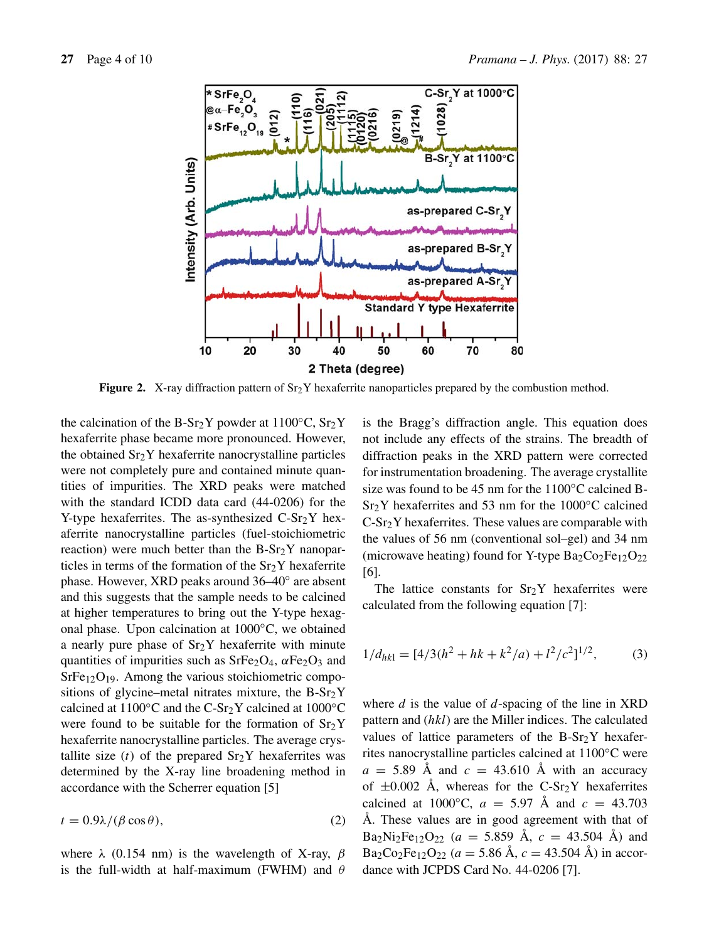

**Figure 2.** X-ray diffraction pattern of  $Sr<sub>2</sub>Y$  hexaferrite nanoparticles prepared by the combustion method.

the calcination of the B-Sr<sub>2</sub>Y powder at 1100 $\rm ^{\circ}C$ , Sr<sub>2</sub>Y hexaferrite phase became more pronounced. However, the obtained Sr2Y hexaferrite nanocrystalline particles were not completely pure and contained minute quantities of impurities. The XRD peaks were matched with the standard ICDD data card (44-0206) for the Y-type hexaferrites. The as-synthesized  $C-Sr<sub>2</sub>Y$  hexaferrite nanocrystalline particles (fuel-stoichiometric reaction) were much better than the  $B-Sr<sub>2</sub>Y$  nanoparticles in terms of the formation of the  $Sr<sub>2</sub>Y$  hexaferrite phase. However, XRD peaks around 36–40◦ are absent and this suggests that the sample needs to be calcined at higher temperatures to bring out the Y-type hexagonal phase. Upon calcination at 1000◦C, we obtained a nearly pure phase of  $Sr<sub>2</sub>Y$  hexaferrite with minute quantities of impurities such as  $SrFe<sub>2</sub>O<sub>4</sub>$ ,  $\alpha Fe<sub>2</sub>O<sub>3</sub>$  and  $SrFe<sub>12</sub>O<sub>19</sub>$ . Among the various stoichiometric compositions of glycine–metal nitrates mixture, the  $B-Sr<sub>2</sub>Y$ calcined at  $1100\textdegree$ C and the C-Sr<sub>2</sub>Y calcined at  $1000\textdegree$ C were found to be suitable for the formation of  $Sr<sub>2</sub>Y$ hexaferrite nanocrystalline particles. The average crystallite size (t) of the prepared  $Sr<sub>2</sub>Y$  hexaferrites was determined by the X-ray line broadening method in accordance with the Scherrer equation [5]

 $t = 0.9\lambda/(\beta \cos \theta),$  (2)

where  $\lambda$  (0.154 nm) is the wavelength of X-ray,  $\beta$ is the full-width at half-maximum (FWHM) and  $\theta$  is the Bragg's diffraction angle. This equation does not include any effects of the strains. The breadth of diffraction peaks in the XRD pattern were corrected for instrumentation broadening. The average crystallite size was found to be 45 nm for the 1100°C calcined B-Sr<sub>2</sub>Y hexaferrites and 53 nm for the 1000℃ calcined C-Sr2Y hexaferrites. These values are comparable with the values of 56 nm (conventional sol–gel) and 34 nm (microwave heating) found for Y-type  $Ba_2Co_2Fe_{12}O_{22}$ [6].

The lattice constants for  $Sr<sub>2</sub>Y$  hexaferrites were calculated from the following equation [7]:

$$
1/d_{hk1} = [4/3(h^2 + hk + k^2/a) + l^2/c^2]^{1/2},
$$
 (3)

where  $d$  is the value of  $d$ -spacing of the line in XRD pattern and (hkl) are the Miller indices. The calculated values of lattice parameters of the  $B-Sr<sub>2</sub>Y$  hexaferrites nanocrystalline particles calcined at 1100◦C were  $a = 5.89$  Å and  $c = 43.610$  Å with an accuracy of  $\pm 0.002$  Å, whereas for the C-Sr<sub>2</sub>Y hexaferrites calcined at 1000 $^{\circ}$ C,  $a = 5.97$  Å and  $c = 43.703$ Å. These values are in good agreement with that of  $Ba_2Ni_2Fe_{12}O_{22}$  ( $a = 5.859$  Å,  $c = 43.504$  Å) and  $Ba_2Co_2Fe_{12}O_{22}$  ( $a = 5.86$  Å,  $c = 43.504$  Å) in accordance with JCPDS Card No. 44-0206 [7].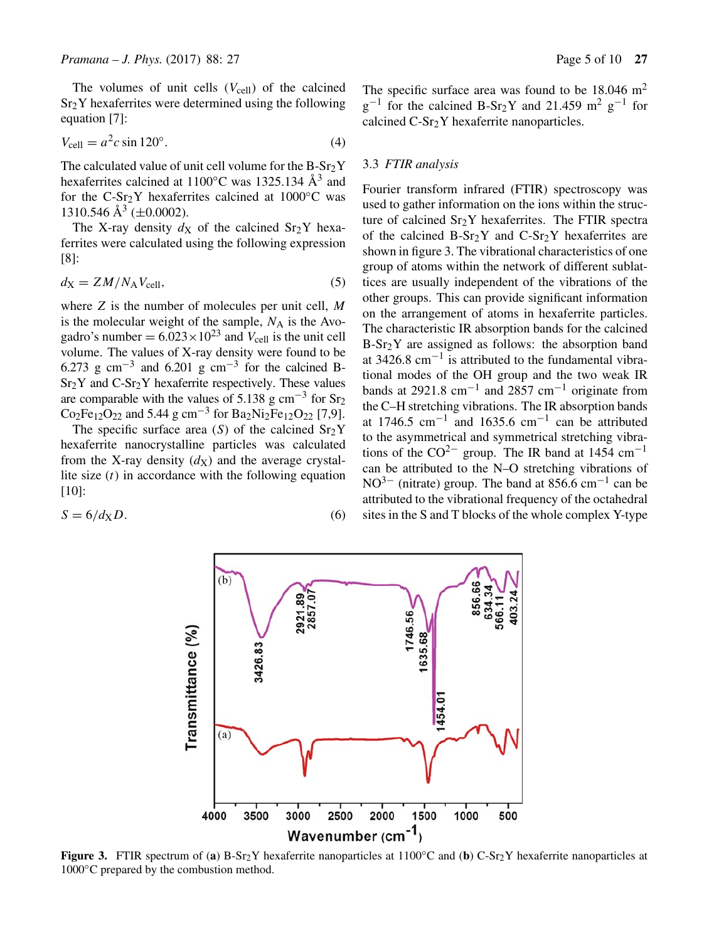The volumes of unit cells  $(V_{cell})$  of the calcined Sr2Y hexaferrites were determined using the following equation [7]:

$$
V_{\text{cell}} = a^2 c \sin 120^\circ. \tag{4}
$$

The calculated value of unit cell volume for the  $B-Sr<sub>2</sub>Y$ hexaferrites calcined at 1100 $\degree$ C was 1325.134 Å<sup>3</sup> and for the C-Sr<sub>2</sub>Y hexaferrites calcined at  $1000\degree$ C was 1310.546 Å<sup>3</sup> ( $\pm$ 0.0002).

The X-ray density  $dx$  of the calcined Sr<sub>2</sub>Y hexaferrites were calculated using the following expression [8]:

$$
d_X = ZM/N_A V_{\text{cell}},\tag{5}
$$

where Z is the number of molecules per unit cell, M is the molecular weight of the sample,  $N_A$  is the Avogadro's number =  $6.023 \times 10^{23}$  and  $V_{\text{cell}}$  is the unit cell volume. The values of X-ray density were found to be 6.273 g cm<sup>-3</sup> and 6.201 g cm<sup>-3</sup> for the calcined B- $Sr<sub>2</sub>Y$  and  $C-Sr<sub>2</sub>Y$  hexaferrite respectively. These values are comparable with the values of 5.138 g  $cm^{-3}$  for Sr<sub>2</sub>  $Co<sub>2</sub>Fe<sub>12</sub>O<sub>22</sub>$  and 5.44 g cm<sup>-3</sup> for Ba<sub>2</sub>Ni<sub>2</sub>Fe<sub>12</sub>O<sub>22</sub> [7,9].

The specific surface area  $(S)$  of the calcined  $Sr<sub>2</sub>Y$ hexaferrite nanocrystalline particles was calculated from the X-ray density  $(d_X)$  and the average crystallite size  $(t)$  in accordance with the following equation [10]:

$$
S = 6/d_X D. \tag{6}
$$

The specific surface area was found to be  $18.046 \text{ m}^2$  $g^{-1}$  for the calcined B-Sr<sub>2</sub>Y and 21.459 m<sup>2</sup> g<sup>-1</sup> for calcined  $C-Sr<sub>2</sub>Y$  hexaferrite nanoparticles.

# 3.3 *FTIR analysis*

Fourier transform infrared (FTIR) spectroscopy was used to gather information on the ions within the structure of calcined Sr<sub>2</sub>Y hexaferrites. The FTIR spectra of the calcined  $B-Sr_2Y$  and  $C-Sr_2Y$  hexaferrites are shown in figure 3. The vibrational characteristics of one group of atoms within the network of different sublattices are usually independent of the vibrations of the other groups. This can provide significant information on the arrangement of atoms in hexaferrite particles. The characteristic IR absorption bands for the calcined B-Sr2Y are assigned as follows: the absorption band at 3426.8 cm<sup> $-1$ </sup> is attributed to the fundamental vibrational modes of the OH group and the two weak IR bands at 2921.8 cm<sup>-1</sup> and 2857 cm<sup>-1</sup> originate from the C–H stretching vibrations. The IR absorption bands at 1746.5 cm<sup>-1</sup> and 1635.6 cm<sup>-1</sup> can be attributed to the asymmetrical and symmetrical stretching vibrations of the  $CO^{2-}$  group. The IR band at 1454 cm<sup>-1</sup> can be attributed to the N–O stretching vibrations of NO<sup>3−</sup> (nitrate) group. The band at  $856.6$  cm<sup>-1</sup> can be attributed to the vibrational frequency of the octahedral sites in the S and T blocks of the whole complex Y-type



**Figure 3.** FTIR spectrum of (**a**) B-Sr2Y hexaferrite nanoparticles at 1100◦C and (**b**) C-Sr2Y hexaferrite nanoparticles at 1000◦C prepared by the combustion method.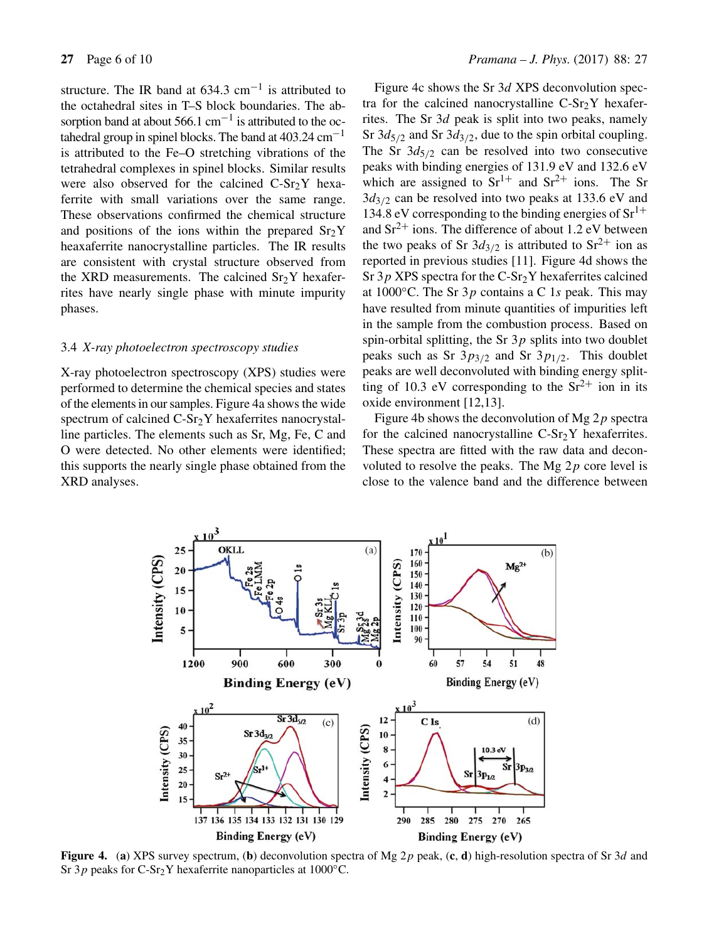structure. The IR band at  $634.3 \text{ cm}^{-1}$  is attributed to the octahedral sites in T–S block boundaries. The absorption band at about  $566.1 \text{ cm}^{-1}$  is attributed to the octahedral group in spinel blocks. The band at  $403.24 \text{ cm}^{-1}$ is attributed to the Fe–O stretching vibrations of the tetrahedral complexes in spinel blocks. Similar results were also observed for the calcined  $C-Sr<sub>2</sub>Y$  hexaferrite with small variations over the same range. These observations confirmed the chemical structure and positions of the ions within the prepared  $Sr<sub>2</sub>Y$ heaxaferrite nanocrystalline particles. The IR results are consistent with crystal structure observed from the XRD measurements. The calcined  $Sr<sub>2</sub>Y$  hexaferrites have nearly single phase with minute impurity phases.

#### 3.4 *X-ray photoelectron spectroscopy studies*

X-ray photoelectron spectroscopy (XPS) studies were performed to determine the chemical species and states of the elements in our samples. Figure 4a shows the wide spectrum of calcined  $C-Sr<sub>2</sub>Y$  hexaferrites nanocrystalline particles. The elements such as Sr, Mg, Fe, C and O were detected. No other elements were identified; this supports the nearly single phase obtained from the XRD analyses.

Figure 4c shows the Sr 3d XPS deconvolution spectra for the calcined nanocrystalline  $C-Sr<sub>2</sub>Y$  hexaferrites. The Sr 3d peak is split into two peaks, namely Sr  $3d_{5/2}$  and Sr  $3d_{3/2}$ , due to the spin orbital coupling. The Sr  $3d_{5/2}$  can be resolved into two consecutive peaks with binding energies of 131.9 eV and 132.6 eV which are assigned to  $Sr^{1+}$  and  $Sr^{2+}$  ions. The Sr  $3d_{3/2}$  can be resolved into two peaks at 133.6 eV and 134.8 eV corresponding to the binding energies of  $Sr^{1+}$ and  $Sr^{2+}$  ions. The difference of about 1.2 eV between the two peaks of Sr  $3d_{3/2}$  is attributed to Sr<sup>2+</sup> ion as reported in previous studies [11]. Figure 4d shows the Sr  $3p$  XPS spectra for the C-Sr<sub>2</sub>Y hexaferrites calcined at  $1000\degree$ C. The Sr  $3p$  contains a C 1s peak. This may have resulted from minute quantities of impurities left in the sample from the combustion process. Based on spin-orbital splitting, the Sr  $3p$  splits into two doublet peaks such as Sr  $3p_{3/2}$  and Sr  $3p_{1/2}$ . This doublet peaks are well deconvoluted with binding energy splitting of 10.3 eV corresponding to the  $Sr^{2+}$  ion in its oxide environment [12,13].

Figure 4b shows the deconvolution of Mg  $2p$  spectra for the calcined nanocrystalline  $C-Sr<sub>2</sub>Y$  hexaferrites. These spectra are fitted with the raw data and deconvoluted to resolve the peaks. The Mg  $2p$  core level is close to the valence band and the difference between



**Figure 4.** (**a**) XPS survey spectrum, (**b**) deconvolution spectra of Mg 2p peak, (**c**, **d**) high-resolution spectra of Sr 3d and Sr 3p peaks for C-Sr<sub>2</sub>Y hexaferrite nanoparticles at 1000 $^{\circ}$ C.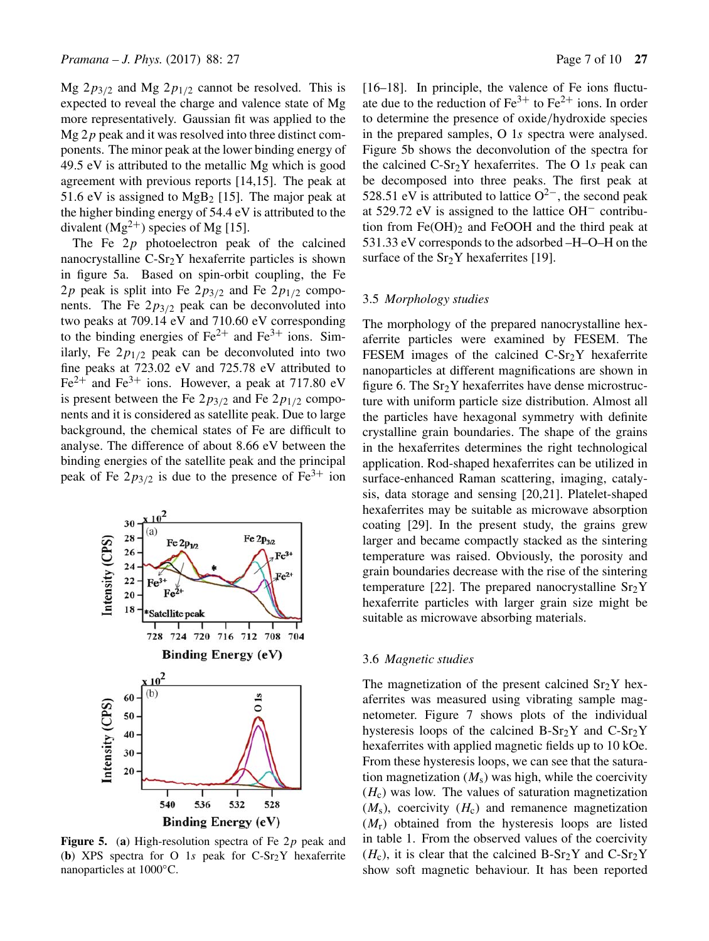Mg  $2p_{3/2}$  and Mg  $2p_{1/2}$  cannot be resolved. This is expected to reveal the charge and valence state of Mg more representatively. Gaussian fit was applied to the  $Mg 2p$  peak and it was resolved into three distinct components. The minor peak at the lower binding energy of 49.5 eV is attributed to the metallic Mg which is good agreement with previous reports [14,15]. The peak at 51.6 eV is assigned to MgB<sub>2</sub> [15]. The major peak at the higher binding energy of 54.4 eV is attributed to the divalent  $(Mg^{2+})$  species of Mg [15].

The Fe  $2p$  photoelectron peak of the calcined nanocrystalline  $C-Sr<sub>2</sub>Y$  hexaferrite particles is shown in figure 5a. Based on spin-orbit coupling, the Fe 2p peak is split into Fe  $2p_{3/2}$  and Fe  $2p_{1/2}$  components. The Fe  $2p_{3/2}$  peak can be deconvoluted into two peaks at 709.14 eV and 710.60 eV corresponding to the binding energies of  $Fe^{2+}$  and  $Fe^{3+}$  ions. Similarly, Fe  $2p_{1/2}$  peak can be deconvoluted into two fine peaks at 723.02 eV and 725.78 eV attributed to  $Fe<sup>2+</sup>$  and Fe<sup>3+</sup> ions. However, a peak at 717.80 eV is present between the Fe  $2p_{3/2}$  and Fe  $2p_{1/2}$  components and it is considered as satellite peak. Due to large background, the chemical states of Fe are difficult to analyse. The difference of about 8.66 eV between the binding energies of the satellite peak and the principal peak of Fe  $2p_{3/2}$  is due to the presence of Fe<sup>3+</sup> ion



**Figure 5.** (a) High-resolution spectra of Fe 2p peak and (**b**) XPS spectra for O 1s peak for  $C-Sr_2Y$  hexaferrite nanoparticles at 1000◦C.

[16–18]. In principle, the valence of Fe ions fluctuate due to the reduction of  $Fe^{3+}$  to  $Fe^{2+}$  ions. In order to determine the presence of oxide/hydroxide species in the prepared samples, O 1s spectra were analysed. Figure 5b shows the deconvolution of the spectra for the calcined  $C-Sr<sub>2</sub>Y$  hexaferrites. The O 1s peak can be decomposed into three peaks. The first peak at 528.51 eV is attributed to lattice  $O^{2-}$ , the second peak at 529.72 eV is assigned to the lattice OH− contribution from  $Fe(OH)_2$  and  $FeOOH$  and the third peak at 531.33 eV corresponds to the adsorbed –H–O–H on the surface of the  $Sr<sub>2</sub>Y$  hexaferrites [19].

# 3.5 *Morphology studies*

The morphology of the prepared nanocrystalline hexaferrite particles were examined by FESEM. The FESEM images of the calcined  $C-Sr<sub>2</sub>Y$  hexaferrite nanoparticles at different magnifications are shown in figure 6. The  $Sr<sub>2</sub>Y$  hexaferrites have dense microstructure with uniform particle size distribution. Almost all the particles have hexagonal symmetry with definite crystalline grain boundaries. The shape of the grains in the hexaferrites determines the right technological application. Rod-shaped hexaferrites can be utilized in surface-enhanced Raman scattering, imaging, catalysis, data storage and sensing [20,21]. Platelet-shaped hexaferrites may be suitable as microwave absorption coating [29]. In the present study, the grains grew larger and became compactly stacked as the sintering temperature was raised. Obviously, the porosity and grain boundaries decrease with the rise of the sintering temperature [22]. The prepared nanocrystalline  $Sr<sub>2</sub>Y$ hexaferrite particles with larger grain size might be suitable as microwave absorbing materials.

#### 3.6 *Magnetic studies*

The magnetization of the present calcined  $Sr<sub>2</sub>Y$  hexaferrites was measured using vibrating sample magnetometer. Figure 7 shows plots of the individual hysteresis loops of the calcined  $B-Sr_2Y$  and  $C-Sr_2Y$ hexaferrites with applied magnetic fields up to 10 kOe. From these hysteresis loops, we can see that the saturation magnetization  $(M<sub>s</sub>)$  was high, while the coercivity  $(H<sub>c</sub>)$  was low. The values of saturation magnetization  $(M<sub>s</sub>)$ , coercivity  $(H<sub>c</sub>)$  and remanence magnetization  $(M_r)$  obtained from the hysteresis loops are listed in table 1. From the observed values of the coercivity  $(H_c)$ , it is clear that the calcined B-Sr<sub>2</sub>Y and C-Sr<sub>2</sub>Y show soft magnetic behaviour. It has been reported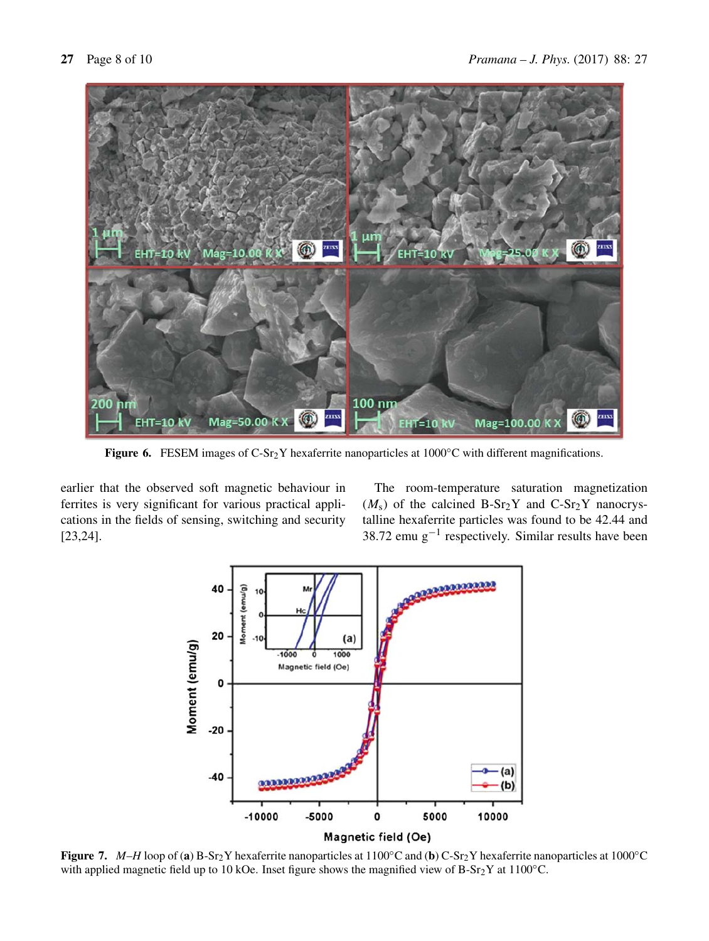

**Figure 6.** FESEM images of C-Sr<sub>2</sub>Y hexaferrite nanoparticles at 1000°C with different magnifications.

earlier that the observed soft magnetic behaviour in ferrites is very significant for various practical applications in the fields of sensing, switching and security [23,24].

The room-temperature saturation magnetization  $(M<sub>s</sub>)$  of the calcined B-Sr<sub>2</sub>Y and C-Sr<sub>2</sub>Y nanocrystalline hexaferrite particles was found to be 42.44 and 38.72 emu  $g^{-1}$  respectively. Similar results have been



**Figure 7.** *M*–*H* loop of (**a**) B-Sr2Y hexaferrite nanoparticles at 1100◦C and (**b**) C-Sr2Y hexaferrite nanoparticles at 1000◦C with applied magnetic field up to 10 kOe. Inset figure shows the magnified view of  $B-Sr<sub>2</sub>Y$  at 1100°C.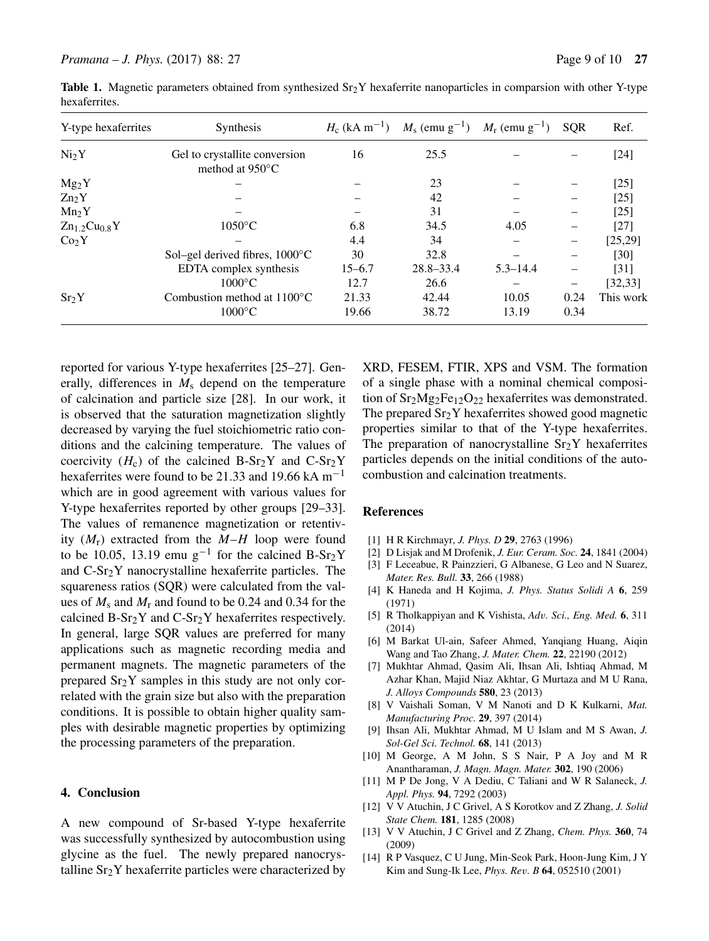| Y-type hexaferrites | <b>Synthesis</b>                                           |            | $H_c$ (kA m <sup>-1</sup> ) $M_s$ (emu g <sup>-1</sup> ) $M_r$ (emu g <sup>-1</sup> ) |              | <b>SOR</b> | Ref.      |
|---------------------|------------------------------------------------------------|------------|---------------------------------------------------------------------------------------|--------------|------------|-----------|
| Ni <sub>2</sub> Y   | Gel to crystallite conversion<br>method at $950^{\circ}$ C | 16         | 25.5                                                                                  |              |            | $[24]$    |
| $Mg_2Y$             |                                                            |            | 23                                                                                    |              |            | $[25]$    |
| $Zn_2Y$             |                                                            |            | 42                                                                                    |              |            | $[25]$    |
| Mn <sub>2</sub> Y   |                                                            |            | 31                                                                                    |              |            | $[25]$    |
| $Zn_{1.2}Cu0.8Y$    | $1050^{\circ}$ C                                           | 6.8        | 34.5                                                                                  | 4.05         |            | $[27]$    |
| Co <sub>2</sub> Y   |                                                            | 4.4        | 34                                                                                    |              |            | [25, 29]  |
|                     | Sol–gel derived fibres, $1000^{\circ}$ C                   | 30         | 32.8                                                                                  |              |            | [30]      |
|                     | EDTA complex synthesis                                     | $15 - 6.7$ | $28.8 - 33.4$                                                                         | $5.3 - 14.4$ |            | $[31]$    |
|                     | $1000^{\circ}$ C                                           | 12.7       | 26.6                                                                                  |              | -          | [32, 33]  |
| Sr <sub>2</sub> Y   | Combustion method at $1100^{\circ}$ C                      | 21.33      | 42.44                                                                                 | 10.05        | 0.24       | This work |
|                     | $1000^{\circ}$ C                                           | 19.66      | 38.72                                                                                 | 13.19        | 0.34       |           |

**Table 1.** Magnetic parameters obtained from synthesized  $Sr_2Y$  hexaferrite nanoparticles in comparsion with other Y-type hexaferrites.

reported for various Y-type hexaferrites [25–27]. Generally, differences in  $M<sub>s</sub>$  depend on the temperature of calcination and particle size [28]. In our work, it is observed that the saturation magnetization slightly decreased by varying the fuel stoichiometric ratio conditions and the calcining temperature. The values of coercivity  $(H_c)$  of the calcined B-Sr<sub>2</sub>Y and C-Sr<sub>2</sub>Y hexaferrites were found to be 21.33 and 19.66 kA m<sup>-1</sup> which are in good agreement with various values for Y-type hexaferrites reported by other groups [29–33]. The values of remanence magnetization or retentivity  $(M_r)$  extracted from the  $M-H$  loop were found to be 10.05, 13.19 emu g<sup>-1</sup> for the calcined B-Sr<sub>2</sub>Y and C-Sr2Y nanocrystalline hexaferrite particles. The squareness ratios (SQR) were calculated from the values of  $M_s$  and  $M_r$  and found to be 0.24 and 0.34 for the calcined  $B-Sr_2Y$  and  $C-Sr_2Y$  hexaferrites respectively. In general, large SQR values are preferred for many applications such as magnetic recording media and permanent magnets. The magnetic parameters of the prepared  $Sr<sub>2</sub>Y$  samples in this study are not only correlated with the grain size but also with the preparation conditions. It is possible to obtain higher quality samples with desirable magnetic properties by optimizing the processing parameters of the preparation.

#### **4. Conclusion**

A new compound of Sr-based Y-type hexaferrite was successfully synthesized by autocombustion using glycine as the fuel. The newly prepared nanocrystalline  $Sr<sub>2</sub>Y$  hexaferrite particles were characterized by XRD, FESEM, FTIR, XPS and VSM. The formation of a single phase with a nominal chemical composition of  $Sr<sub>2</sub>Mg<sub>2</sub>Fe<sub>12</sub>O<sub>22</sub>$  hexaferrites was demonstrated. The prepared  $Sr<sub>2</sub>Y$  hexaferrites showed good magnetic properties similar to that of the Y-type hexaferrites. The preparation of nanocrystalline  $Sr<sub>2</sub>Y$  hexaferrites particles depends on the initial conditions of the autocombustion and calcination treatments.

# **References**

- [1] H R Kirchmayr, *J. Phys. D* **29**, 2763 (1996)
- [2] D Lisjak and M Drofenik, *J. Eur. Ceram. Soc.* **24**, 1841 (2004)
- [3] F Leceabue, R Painzzieri, G Albanese, G Leo and N Suarez, *Mater. Res. Bull.* **33**, 266 (1988)
- [4] K Haneda and H Kojima, *J. Phys. Status Solidi A* **6**, 259 (1971)
- [5] R Tholkappiyan and K Vishista, *Ad*v*. Sci., Eng. Med.* **6**, 311 (2014)
- [6] M Barkat Ul-ain, Safeer Ahmed, Yanqiang Huang, Aiqin Wang and Tao Zhang, *J. Mater. Chem.* **22**, 22190 (2012)
- [7] Mukhtar Ahmad, Qasim Ali, Ihsan Ali, Ishtiaq Ahmad, M Azhar Khan, Majid Niaz Akhtar, G Murtaza and M U Rana, *J. Alloys Compounds* **580**, 23 (2013)
- [8] V Vaishali Soman, V M Nanoti and D K Kulkarni, *Mat. Manufacturing Proc.* **29**, 397 (2014)
- [9] Ihsan Ali, Mukhtar Ahmad, M U Islam and M S Awan, *J. Sol-Gel Sci. Technol.* **68**, 141 (2013)
- [10] M George, A M John, S S Nair, P A Joy and M R Anantharaman, *J. Magn. Magn. Mater.* **302**, 190 (2006)
- [11] M P De Jong, V A Dediu, C Taliani and W R Salaneck, *J. Appl. Phys.* **94**, 7292 (2003)
- [12] V V Atuchin, J C Grivel, A S Korotkov and Z Zhang, *J. Solid State Chem.* **181**, 1285 (2008)
- [13] V V Atuchin, J C Grivel and Z Zhang, *Chem. Phys.* **360**, 74 (2009)
- [14] R P Vasquez, C U Jung, Min-Seok Park, Hoon-Jung Kim, J Y Kim and Sung-Ik Lee, *Phys. Re*v*. B* **64**, 052510 (2001)